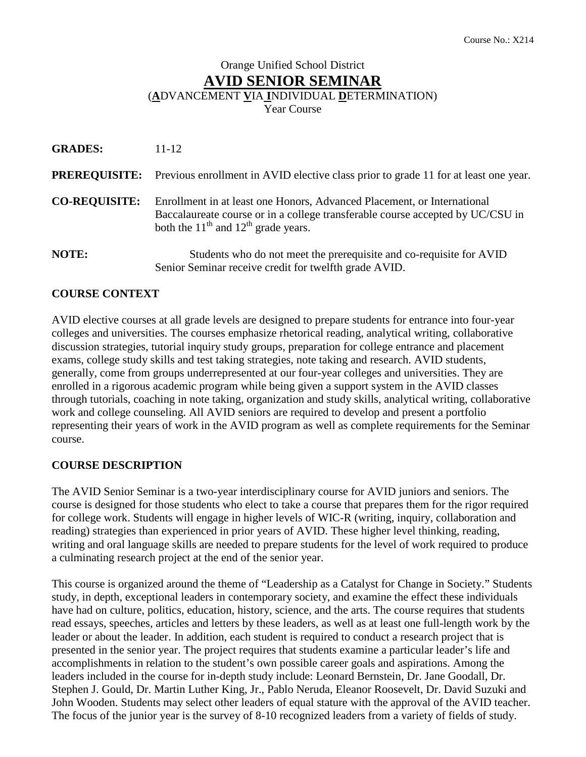# Orange Unified School District **AVID SENIOR SEMINAR** (**A**DVANCEMENT **V**IA **I**NDIVIDUAL **D**ETERMINATION) Year Course

| <b>GRADES:</b>       | $11 - 12$                                                                                                                                                                                            |
|----------------------|------------------------------------------------------------------------------------------------------------------------------------------------------------------------------------------------------|
|                      | <b>PREREQUISITE:</b> Previous enrollment in AVID elective class prior to grade 11 for at least one year.                                                                                             |
| <b>CO-REQUISITE:</b> | Enrollment in at least one Honors, Advanced Placement, or International<br>Baccalaureate course or in a college transferable course accepted by UC/CSU in<br>both the $11th$ and $12th$ grade years. |
| NOTE:                | Students who do not meet the prerequisite and co-requisite for AVID<br>Senior Seminar receive credit for twelfth grade AVID.                                                                         |

## **COURSE CONTEXT**

AVID elective courses at all grade levels are designed to prepare students for entrance into four-year colleges and universities. The courses emphasize rhetorical reading, analytical writing, collaborative discussion strategies, tutorial inquiry study groups, preparation for college entrance and placement exams, college study skills and test taking strategies, note taking and research. AVID students, generally, come from groups underrepresented at our four-year colleges and universities. They are enrolled in a rigorous academic program while being given a support system in the AVID classes through tutorials, coaching in note taking, organization and study skills, analytical writing, collaborative work and college counseling. All AVID seniors are required to develop and present a portfolio representing their years of work in the AVID program as well as complete requirements for the Seminar course.

## **COURSE DESCRIPTION**

The AVID Senior Seminar is a two-year interdisciplinary course for AVID juniors and seniors. The course is designed for those students who elect to take a course that prepares them for the rigor required for college work. Students will engage in higher levels of WIC-R (writing, inquiry, collaboration and reading) strategies than experienced in prior years of AVID. These higher level thinking, reading, writing and oral language skills are needed to prepare students for the level of work required to produce a culminating research project at the end of the senior year.

This course is organized around the theme of "Leadership as a Catalyst for Change in Society." Students study, in depth, exceptional leaders in contemporary society, and examine the effect these individuals have had on culture, politics, education, history, science, and the arts. The course requires that students read essays, speeches, articles and letters by these leaders, as well as at least one full-length work by the leader or about the leader. In addition, each student is required to conduct a research project that is presented in the senior year. The project requires that students examine a particular leader's life and accomplishments in relation to the student's own possible career goals and aspirations. Among the leaders included in the course for in-depth study include: Leonard Bernstein, Dr. Jane Goodall, Dr. Stephen J. Gould, Dr. Martin Luther King, Jr., Pablo Neruda, Eleanor Roosevelt, Dr. David Suzuki and John Wooden. Students may select other leaders of equal stature with the approval of the AVID teacher. The focus of the junior year is the survey of 8-10 recognized leaders from a variety of fields of study.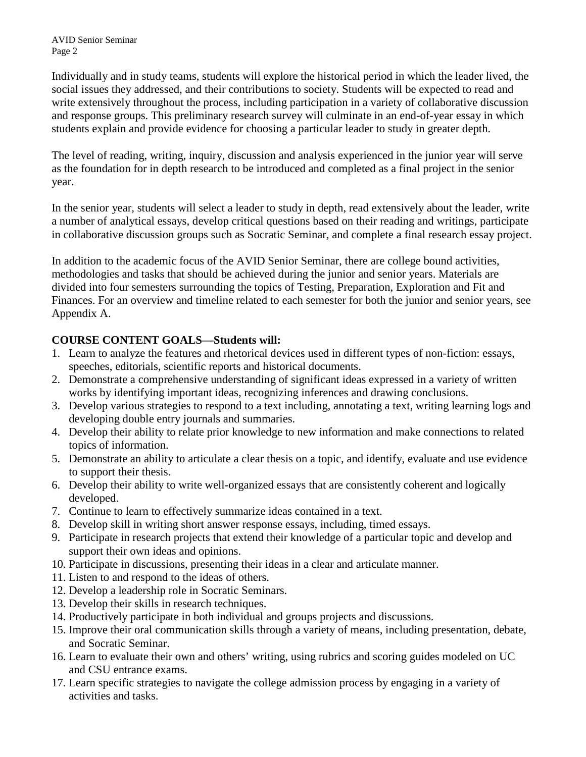AVID Senior Seminar Page 2

Individually and in study teams, students will explore the historical period in which the leader lived, the social issues they addressed, and their contributions to society. Students will be expected to read and write extensively throughout the process, including participation in a variety of collaborative discussion and response groups. This preliminary research survey will culminate in an end-of-year essay in which students explain and provide evidence for choosing a particular leader to study in greater depth.

The level of reading, writing, inquiry, discussion and analysis experienced in the junior year will serve as the foundation for in depth research to be introduced and completed as a final project in the senior year.

In the senior year, students will select a leader to study in depth, read extensively about the leader, write a number of analytical essays, develop critical questions based on their reading and writings, participate in collaborative discussion groups such as Socratic Seminar, and complete a final research essay project.

In addition to the academic focus of the AVID Senior Seminar, there are college bound activities, methodologies and tasks that should be achieved during the junior and senior years. Materials are divided into four semesters surrounding the topics of Testing, Preparation, Exploration and Fit and Finances. For an overview and timeline related to each semester for both the junior and senior years, see Appendix A.

## **COURSE CONTENT GOALS—Students will:**

- 1. Learn to analyze the features and rhetorical devices used in different types of non-fiction: essays, speeches, editorials, scientific reports and historical documents.
- 2. Demonstrate a comprehensive understanding of significant ideas expressed in a variety of written works by identifying important ideas, recognizing inferences and drawing conclusions.
- 3. Develop various strategies to respond to a text including, annotating a text, writing learning logs and developing double entry journals and summaries.
- 4. Develop their ability to relate prior knowledge to new information and make connections to related topics of information.
- 5. Demonstrate an ability to articulate a clear thesis on a topic, and identify, evaluate and use evidence to support their thesis.
- 6. Develop their ability to write well-organized essays that are consistently coherent and logically developed.
- 7. Continue to learn to effectively summarize ideas contained in a text.
- 8. Develop skill in writing short answer response essays, including, timed essays.
- 9. Participate in research projects that extend their knowledge of a particular topic and develop and support their own ideas and opinions.
- 10. Participate in discussions, presenting their ideas in a clear and articulate manner.
- 11. Listen to and respond to the ideas of others.
- 12. Develop a leadership role in Socratic Seminars.
- 13. Develop their skills in research techniques.
- 14. Productively participate in both individual and groups projects and discussions.
- 15. Improve their oral communication skills through a variety of means, including presentation, debate, and Socratic Seminar.
- 16. Learn to evaluate their own and others' writing, using rubrics and scoring guides modeled on UC and CSU entrance exams.
- 17. Learn specific strategies to navigate the college admission process by engaging in a variety of activities and tasks.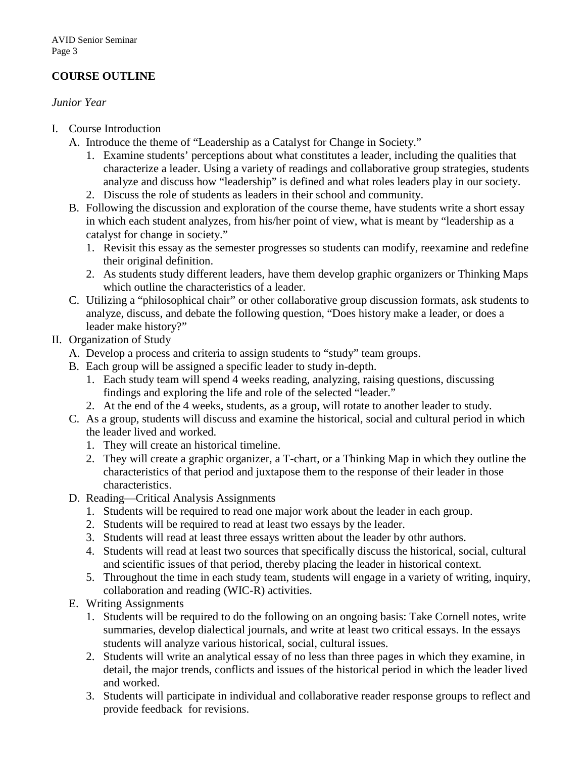# **COURSE OUTLINE**

#### *Junior Year*

- I. Course Introduction
	- A. Introduce the theme of "Leadership as a Catalyst for Change in Society."
		- 1. Examine students' perceptions about what constitutes a leader, including the qualities that characterize a leader. Using a variety of readings and collaborative group strategies, students analyze and discuss how "leadership" is defined and what roles leaders play in our society.
		- 2. Discuss the role of students as leaders in their school and community.
	- B. Following the discussion and exploration of the course theme, have students write a short essay in which each student analyzes, from his/her point of view, what is meant by "leadership as a catalyst for change in society."
		- 1. Revisit this essay as the semester progresses so students can modify, reexamine and redefine their original definition.
		- 2. As students study different leaders, have them develop graphic organizers or Thinking Maps which outline the characteristics of a leader.
	- C. Utilizing a "philosophical chair" or other collaborative group discussion formats, ask students to analyze, discuss, and debate the following question, "Does history make a leader, or does a leader make history?"
- II. Organization of Study
	- A. Develop a process and criteria to assign students to "study" team groups.
	- B. Each group will be assigned a specific leader to study in-depth.
		- 1. Each study team will spend 4 weeks reading, analyzing, raising questions, discussing findings and exploring the life and role of the selected "leader."
		- 2. At the end of the 4 weeks, students, as a group, will rotate to another leader to study.
	- C. As a group, students will discuss and examine the historical, social and cultural period in which the leader lived and worked.
		- 1. They will create an historical timeline.
		- 2. They will create a graphic organizer, a T-chart, or a Thinking Map in which they outline the characteristics of that period and juxtapose them to the response of their leader in those characteristics.
	- D. Reading—Critical Analysis Assignments
		- 1. Students will be required to read one major work about the leader in each group.
		- 2. Students will be required to read at least two essays by the leader.
		- 3. Students will read at least three essays written about the leader by othr authors.
		- 4. Students will read at least two sources that specifically discuss the historical, social, cultural and scientific issues of that period, thereby placing the leader in historical context.
		- 5. Throughout the time in each study team, students will engage in a variety of writing, inquiry, collaboration and reading (WIC-R) activities.
	- E. Writing Assignments
		- 1. Students will be required to do the following on an ongoing basis: Take Cornell notes, write summaries, develop dialectical journals, and write at least two critical essays. In the essays students will analyze various historical, social, cultural issues.
		- 2. Students will write an analytical essay of no less than three pages in which they examine, in detail, the major trends, conflicts and issues of the historical period in which the leader lived and worked.
		- 3. Students will participate in individual and collaborative reader response groups to reflect and provide feedback for revisions.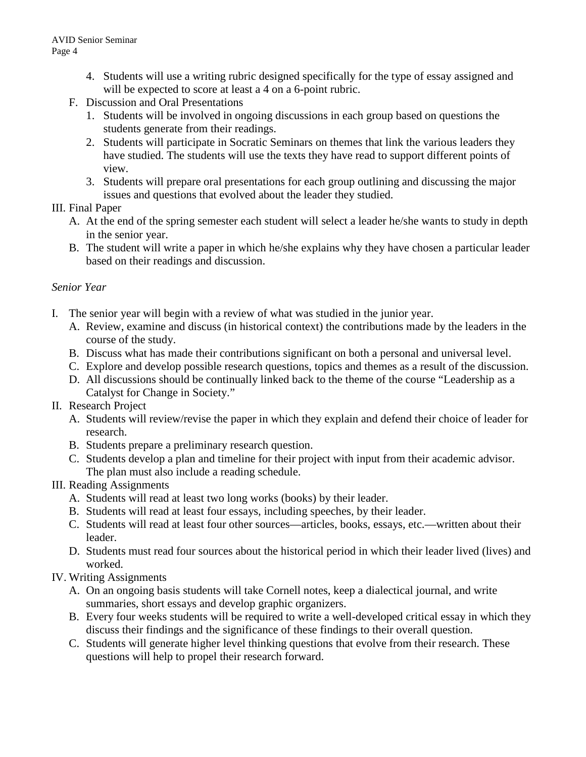- 4. Students will use a writing rubric designed specifically for the type of essay assigned and will be expected to score at least a 4 on a 6-point rubric.
- F. Discussion and Oral Presentations
	- 1. Students will be involved in ongoing discussions in each group based on questions the students generate from their readings.
	- 2. Students will participate in Socratic Seminars on themes that link the various leaders they have studied. The students will use the texts they have read to support different points of view.
	- 3. Students will prepare oral presentations for each group outlining and discussing the major issues and questions that evolved about the leader they studied.

### III. Final Paper

- A. At the end of the spring semester each student will select a leader he/she wants to study in depth in the senior year.
- B. The student will write a paper in which he/she explains why they have chosen a particular leader based on their readings and discussion.

## *Senior Year*

- I. The senior year will begin with a review of what was studied in the junior year.
	- A. Review, examine and discuss (in historical context) the contributions made by the leaders in the course of the study.
	- B. Discuss what has made their contributions significant on both a personal and universal level.
	- C. Explore and develop possible research questions, topics and themes as a result of the discussion.
	- D. All discussions should be continually linked back to the theme of the course "Leadership as a Catalyst for Change in Society."
- II. Research Project
	- A. Students will review/revise the paper in which they explain and defend their choice of leader for research.
	- B. Students prepare a preliminary research question.
	- C. Students develop a plan and timeline for their project with input from their academic advisor. The plan must also include a reading schedule.

## III. Reading Assignments

- A. Students will read at least two long works (books) by their leader.
- B. Students will read at least four essays, including speeches, by their leader.
- C. Students will read at least four other sources—articles, books, essays, etc.—written about their leader.
- D. Students must read four sources about the historical period in which their leader lived (lives) and worked.
- IV. Writing Assignments
	- A. On an ongoing basis students will take Cornell notes, keep a dialectical journal, and write summaries, short essays and develop graphic organizers.
	- B. Every four weeks students will be required to write a well-developed critical essay in which they discuss their findings and the significance of these findings to their overall question.
	- C. Students will generate higher level thinking questions that evolve from their research. These questions will help to propel their research forward.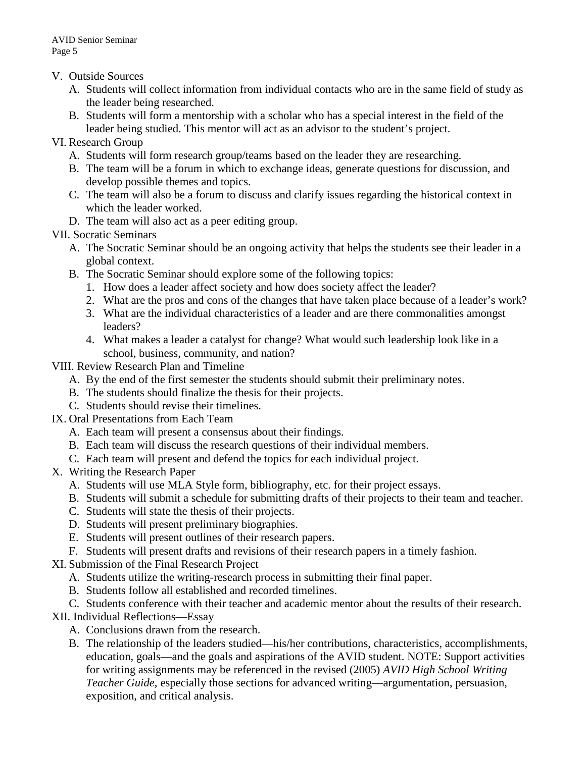- V. Outside Sources
	- A. Students will collect information from individual contacts who are in the same field of study as the leader being researched.
	- B. Students will form a mentorship with a scholar who has a special interest in the field of the leader being studied. This mentor will act as an advisor to the student's project.
- VI. Research Group
	- A. Students will form research group/teams based on the leader they are researching.
	- B. The team will be a forum in which to exchange ideas, generate questions for discussion, and develop possible themes and topics.
	- C. The team will also be a forum to discuss and clarify issues regarding the historical context in which the leader worked.
	- D. The team will also act as a peer editing group.

VII. Socratic Seminars

- A. The Socratic Seminar should be an ongoing activity that helps the students see their leader in a global context.
- B. The Socratic Seminar should explore some of the following topics:
	- 1. How does a leader affect society and how does society affect the leader?
	- 2. What are the pros and cons of the changes that have taken place because of a leader's work?
	- 3. What are the individual characteristics of a leader and are there commonalities amongst leaders?
	- 4. What makes a leader a catalyst for change? What would such leadership look like in a school, business, community, and nation?
- VIII. Review Research Plan and Timeline
	- A. By the end of the first semester the students should submit their preliminary notes.
	- B. The students should finalize the thesis for their projects.
	- C. Students should revise their timelines.
- IX. Oral Presentations from Each Team
	- A. Each team will present a consensus about their findings.
	- B. Each team will discuss the research questions of their individual members.
	- C. Each team will present and defend the topics for each individual project.
- X. Writing the Research Paper
	- A. Students will use MLA Style form, bibliography, etc. for their project essays.
	- B. Students will submit a schedule for submitting drafts of their projects to their team and teacher.
	- C. Students will state the thesis of their projects.
	- D. Students will present preliminary biographies.
	- E. Students will present outlines of their research papers.
	- F. Students will present drafts and revisions of their research papers in a timely fashion.
- XI. Submission of the Final Research Project
	- A. Students utilize the writing-research process in submitting their final paper.
	- B. Students follow all established and recorded timelines.
	- C. Students conference with their teacher and academic mentor about the results of their research.
- XII. Individual Reflections—Essay
	- A. Conclusions drawn from the research.
	- B. The relationship of the leaders studied—his/her contributions, characteristics, accomplishments, education, goals—and the goals and aspirations of the AVID student. NOTE: Support activities for writing assignments may be referenced in the revised (2005) *AVID High School Writing Teacher Guide,* especially those sections for advanced writing—argumentation, persuasion, exposition, and critical analysis.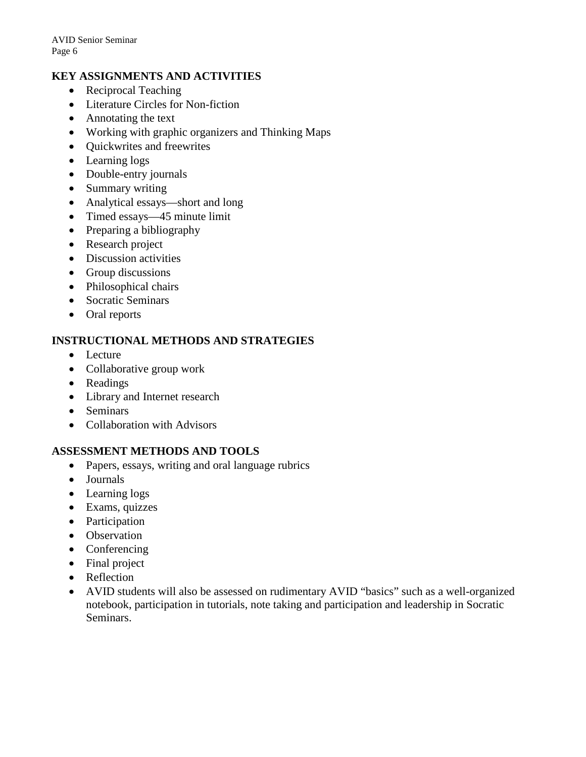### **KEY ASSIGNMENTS AND ACTIVITIES**

- Reciprocal Teaching
- Literature Circles for Non-fiction
- Annotating the text
- Working with graphic organizers and Thinking Maps
- Quickwrites and freewrites
- Learning logs
- Double-entry journals
- Summary writing
- Analytical essays—short and long
- Timed essays—45 minute limit
- Preparing a bibliography
- Research project
- Discussion activities
- Group discussions
- Philosophical chairs
- Socratic Seminars
- Oral reports

#### **INSTRUCTIONAL METHODS AND STRATEGIES**

- Lecture
- Collaborative group work
- Readings
- Library and Internet research
- Seminars
- Collaboration with Advisors

### **ASSESSMENT METHODS AND TOOLS**

- Papers, essays, writing and oral language rubrics
- Journals
- Learning logs
- Exams, quizzes
- Participation
- Observation
- Conferencing
- Final project
- Reflection
- AVID students will also be assessed on rudimentary AVID "basics" such as a well-organized notebook, participation in tutorials, note taking and participation and leadership in Socratic Seminars.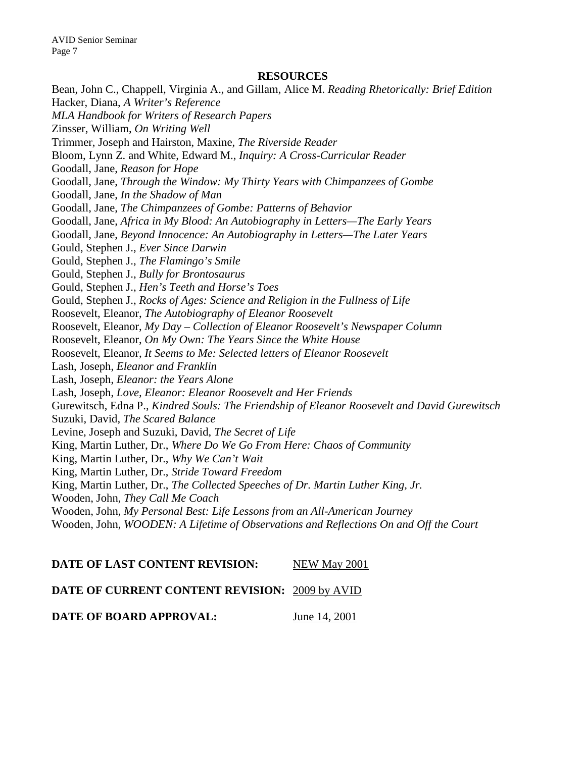#### **RESOURCES**

Bean, John C., Chappell, Virginia A., and Gillam, Alice M. *Reading Rhetorically: Brief Edition* Hacker, Diana, *A Writer's Reference MLA Handbook for Writers of Research Papers* Zinsser, William, *On Writing Well* Trimmer, Joseph and Hairston, Maxine, *The Riverside Reader* Bloom, Lynn Z. and White, Edward M., *Inquiry: A Cross-Curricular Reader* Goodall, Jane, *Reason for Hope* Goodall, Jane, *Through the Window: My Thirty Years with Chimpanzees of Gombe* Goodall, Jane, *In the Shadow of Man* Goodall, Jane, *The Chimpanzees of Gombe: Patterns of Behavior* Goodall, Jane, *Africa in My Blood: An Autobiography in Letters—The Early Years* Goodall, Jane, *Beyond Innocence: An Autobiography in Letters—The Later Years* Gould, Stephen J., *Ever Since Darwin* Gould, Stephen J., *The Flamingo's Smile* Gould, Stephen J., *Bully for Brontosaurus* Gould, Stephen J., *Hen's Teeth and Horse's Toes* Gould, Stephen J., *Rocks of Ages: Science and Religion in the Fullness of Life* Roosevelt, Eleanor, *The Autobiography of Eleanor Roosevelt* Roosevelt, Eleanor, *My Day – Collection of Eleanor Roosevelt's Newspaper Column* Roosevelt, Eleanor, *On My Own: The Years Since the White House* Roosevelt, Eleanor, *It Seems to Me: Selected letters of Eleanor Roosevelt* Lash, Joseph, *Eleanor and Franklin* Lash, Joseph, *Eleanor: the Years Alone* Lash, Joseph, *Love, Eleanor: Eleanor Roosevelt and Her Friends* Gurewitsch, Edna P., *Kindred Souls: The Friendship of Eleanor Roosevelt and David Gurewitsch* Suzuki, David, *The Scared Balance* Levine, Joseph and Suzuki, David, *The Secret of Life* King, Martin Luther, Dr., *Where Do We Go From Here: Chaos of Community* King, Martin Luther, Dr., *Why We Can't Wait* King, Martin Luther, Dr., *Stride Toward Freedom* King, Martin Luther, Dr., *The Collected Speeches of Dr. Martin Luther King, Jr.* Wooden, John, *They Call Me Coach* Wooden, John, *My Personal Best: Life Lessons from an All-American Journey* Wooden, John, *WOODEN: A Lifetime of Observations and Reflections On and Off the Court*

#### **DATE OF LAST CONTENT REVISION:** NEW May 2001

#### **DATE OF CURRENT CONTENT REVISION:** 2009 by AVID

**DATE OF BOARD APPROVAL:** June 14, 2001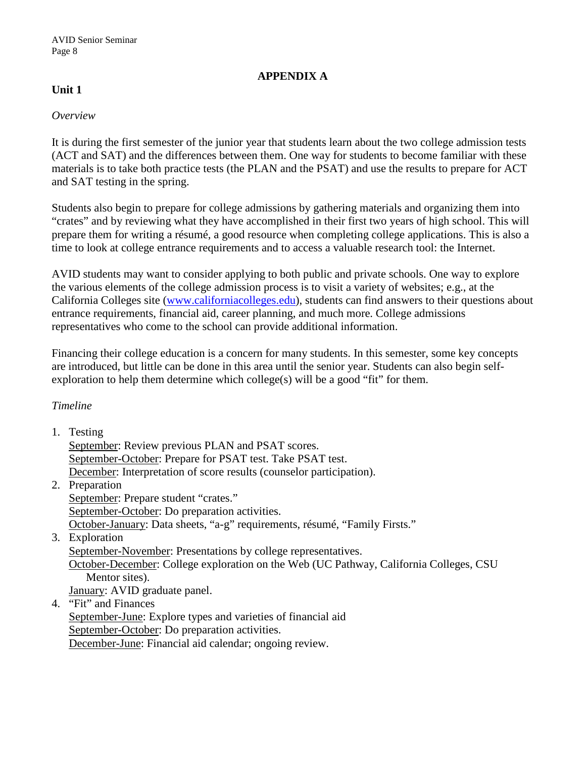### **APPENDIX A**

## **Unit 1**

#### *Overview*

It is during the first semester of the junior year that students learn about the two college admission tests (ACT and SAT) and the differences between them. One way for students to become familiar with these materials is to take both practice tests (the PLAN and the PSAT) and use the results to prepare for ACT and SAT testing in the spring.

Students also begin to prepare for college admissions by gathering materials and organizing them into "crates" and by reviewing what they have accomplished in their first two years of high school. This will prepare them for writing a résumé, a good resource when completing college applications. This is also a time to look at college entrance requirements and to access a valuable research tool: the Internet.

AVID students may want to consider applying to both public and private schools. One way to explore the various elements of the college admission process is to visit a variety of websites; e.g., at the California Colleges site [\(www.californiacolleges.edu\)](http://www.californiacolleges.edu/), students can find answers to their questions about entrance requirements, financial aid, career planning, and much more. College admissions representatives who come to the school can provide additional information.

Financing their college education is a concern for many students. In this semester, some key concepts are introduced, but little can be done in this area until the senior year. Students can also begin selfexploration to help them determine which college(s) will be a good "fit" for them.

### *Timeline*

1. Testing

September: Review previous PLAN and PSAT scores. September-October: Prepare for PSAT test. Take PSAT test. December: Interpretation of score results (counselor participation).

- 2. Preparation September: Prepare student "crates." September-October: Do preparation activities. October-January: Data sheets, "a-g" requirements, résumé, "Family Firsts."
- 3. Exploration

September-November: Presentations by college representatives.

October-December: College exploration on the Web (UC Pathway, California Colleges, CSU Mentor sites).

January: AVID graduate panel.

4. "Fit" and Finances

September-June: Explore types and varieties of financial aid September-October: Do preparation activities. December-June: Financial aid calendar; ongoing review.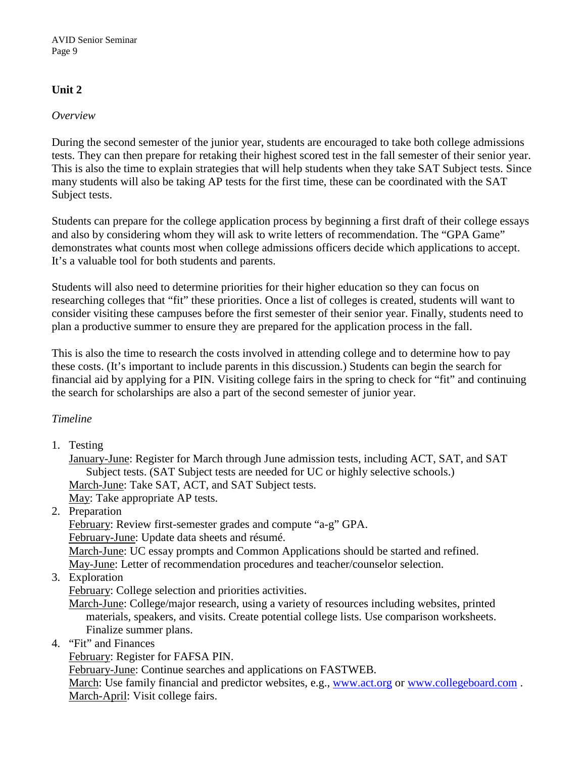## **Unit 2**

#### *Overview*

During the second semester of the junior year, students are encouraged to take both college admissions tests. They can then prepare for retaking their highest scored test in the fall semester of their senior year. This is also the time to explain strategies that will help students when they take SAT Subject tests. Since many students will also be taking AP tests for the first time, these can be coordinated with the SAT Subject tests.

Students can prepare for the college application process by beginning a first draft of their college essays and also by considering whom they will ask to write letters of recommendation. The "GPA Game" demonstrates what counts most when college admissions officers decide which applications to accept. It's a valuable tool for both students and parents.

Students will also need to determine priorities for their higher education so they can focus on researching colleges that "fit" these priorities. Once a list of colleges is created, students will want to consider visiting these campuses before the first semester of their senior year. Finally, students need to plan a productive summer to ensure they are prepared for the application process in the fall.

This is also the time to research the costs involved in attending college and to determine how to pay these costs. (It's important to include parents in this discussion.) Students can begin the search for financial aid by applying for a PIN. Visiting college fairs in the spring to check for "fit" and continuing the search for scholarships are also a part of the second semester of junior year.

### *Timeline*

1. Testing

January-June: Register for March through June admission tests, including ACT, SAT, and SAT Subject tests. (SAT Subject tests are needed for UC or highly selective schools.) March-June: Take SAT, ACT, and SAT Subject tests. May: Take appropriate AP tests.

2. Preparation

February: Review first-semester grades and compute "a-g" GPA.

February-June: Update data sheets and résumé.

March-June: UC essay prompts and Common Applications should be started and refined. May-June: Letter of recommendation procedures and teacher/counselor selection.

3. Exploration

February: College selection and priorities activities.

March-June: College/major research, using a variety of resources including websites, printed materials, speakers, and visits. Create potential college lists. Use comparison worksheets. Finalize summer plans.

4. "Fit" and Finances

February: Register for FAFSA PIN.

February-June: Continue searches and applications on FASTWEB.

March: Use family financial and predictor websites, e.g., [www.act.org](http://www.act.org/) or [www.collegeboard.com](http://www.collegeboard.com/). March-April: Visit college fairs.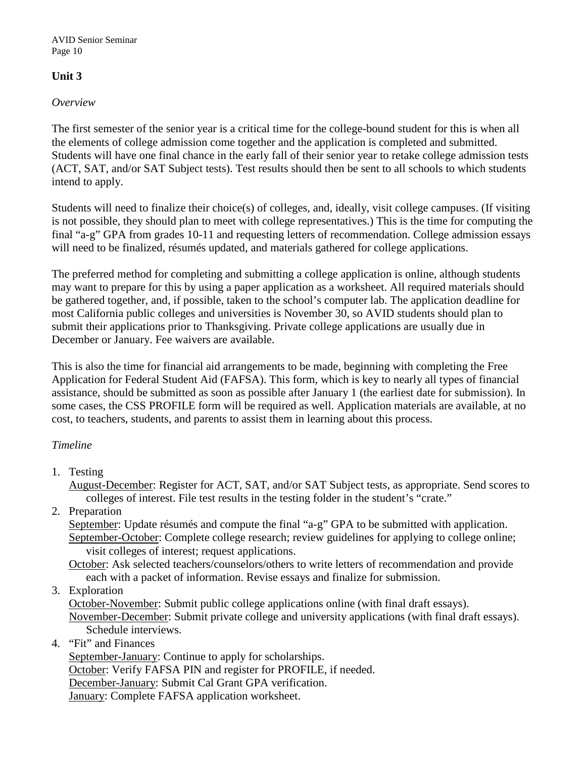AVID Senior Seminar Page 10

## **Unit 3**

### *Overview*

The first semester of the senior year is a critical time for the college-bound student for this is when all the elements of college admission come together and the application is completed and submitted. Students will have one final chance in the early fall of their senior year to retake college admission tests (ACT, SAT, and/or SAT Subject tests). Test results should then be sent to all schools to which students intend to apply.

Students will need to finalize their choice(s) of colleges, and, ideally, visit college campuses. (If visiting is not possible, they should plan to meet with college representatives.) This is the time for computing the final "a-g" GPA from grades 10-11 and requesting letters of recommendation. College admission essays will need to be finalized, résumés updated, and materials gathered for college applications.

The preferred method for completing and submitting a college application is online, although students may want to prepare for this by using a paper application as a worksheet. All required materials should be gathered together, and, if possible, taken to the school's computer lab. The application deadline for most California public colleges and universities is November 30, so AVID students should plan to submit their applications prior to Thanksgiving. Private college applications are usually due in December or January. Fee waivers are available.

This is also the time for financial aid arrangements to be made, beginning with completing the Free Application for Federal Student Aid (FAFSA). This form, which is key to nearly all types of financial assistance, should be submitted as soon as possible after January 1 (the earliest date for submission). In some cases, the CSS PROFILE form will be required as well. Application materials are available, at no cost, to teachers, students, and parents to assist them in learning about this process.

### *Timeline*

1. Testing

August-December: Register for ACT, SAT, and/or SAT Subject tests, as appropriate. Send scores to colleges of interest. File test results in the testing folder in the student's "crate."

2. Preparation

September: Update résumés and compute the final "a-g" GPA to be submitted with application. September-October: Complete college research; review guidelines for applying to college online; visit colleges of interest; request applications.

October: Ask selected teachers/counselors/others to write letters of recommendation and provide each with a packet of information. Revise essays and finalize for submission.

3. Exploration

October-November: Submit public college applications online (with final draft essays). November-December: Submit private college and university applications (with final draft essays). Schedule interviews.

4. "Fit" and Finances

September-January: Continue to apply for scholarships. October: Verify FAFSA PIN and register for PROFILE, if needed. December-January: Submit Cal Grant GPA verification. January: Complete FAFSA application worksheet.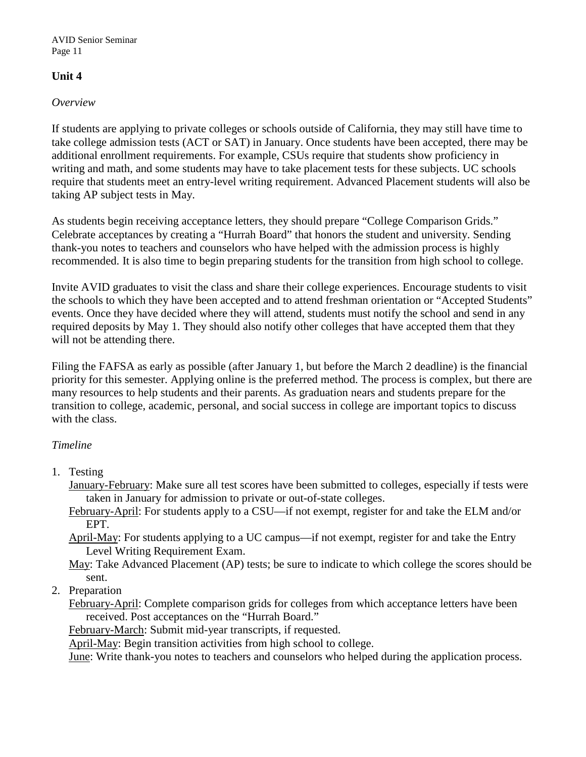## **Unit 4**

### *Overview*

If students are applying to private colleges or schools outside of California, they may still have time to take college admission tests (ACT or SAT) in January. Once students have been accepted, there may be additional enrollment requirements. For example, CSUs require that students show proficiency in writing and math, and some students may have to take placement tests for these subjects. UC schools require that students meet an entry-level writing requirement. Advanced Placement students will also be taking AP subject tests in May.

As students begin receiving acceptance letters, they should prepare "College Comparison Grids." Celebrate acceptances by creating a "Hurrah Board" that honors the student and university. Sending thank-you notes to teachers and counselors who have helped with the admission process is highly recommended. It is also time to begin preparing students for the transition from high school to college.

Invite AVID graduates to visit the class and share their college experiences. Encourage students to visit the schools to which they have been accepted and to attend freshman orientation or "Accepted Students" events. Once they have decided where they will attend, students must notify the school and send in any required deposits by May 1. They should also notify other colleges that have accepted them that they will not be attending there.

Filing the FAFSA as early as possible (after January 1, but before the March 2 deadline) is the financial priority for this semester. Applying online is the preferred method. The process is complex, but there are many resources to help students and their parents. As graduation nears and students prepare for the transition to college, academic, personal, and social success in college are important topics to discuss with the class.

### *Timeline*

- 1. Testing
	- January-February: Make sure all test scores have been submitted to colleges, especially if tests were taken in January for admission to private or out-of-state colleges.
	- February-April: For students apply to a CSU—if not exempt, register for and take the ELM and/or EPT.
	- April-May: For students applying to a UC campus—if not exempt, register for and take the Entry Level Writing Requirement Exam.

May: Take Advanced Placement (AP) tests; be sure to indicate to which college the scores should be sent.

2. Preparation

February-April: Complete comparison grids for colleges from which acceptance letters have been received. Post acceptances on the "Hurrah Board."

February-March: Submit mid-year transcripts, if requested.

April-May: Begin transition activities from high school to college.

June: Write thank-you notes to teachers and counselors who helped during the application process.